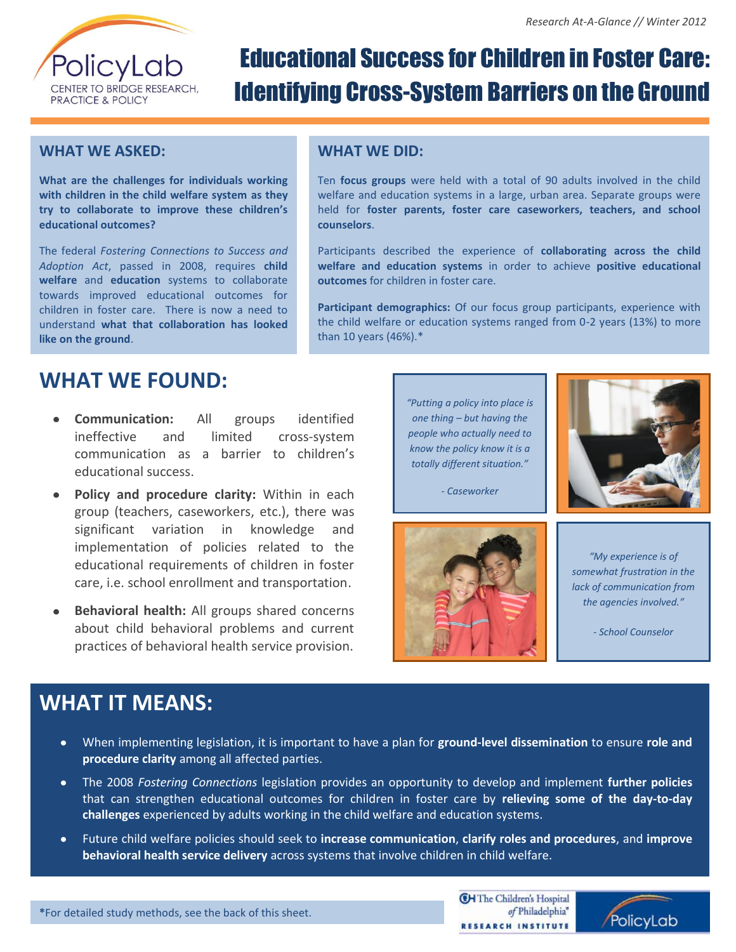

# Educational Success for Children in Foster Care: Identifying Cross-System Barriers on the Ground

#### **WHAT WE ASKED:**

**What are the challenges for individuals working with children in the child welfare system as they try to collaborate to improve these children's educational outcomes?**

The federal *Fostering Connections to Success and Adoption Act*, passed in 2008, requires **child welfare** and **education** systems to collaborate towards improved educational outcomes for children in foster care. There is now a need to understand **what that collaboration has looked like on the ground**.

#### **WHAT WE DID:**

Ten **focus groups** were held with a total of 90 adults involved in the child welfare and education systems in a large, urban area. Separate groups were held for **foster parents, foster care caseworkers, teachers, and school counselors**.

Participants described the experience of **collaborating across the child welfare and education systems** in order to achieve **positive educational outcomes** for children in foster care.

**Participant demographics:** Of our focus group participants, experience with the child welfare or education systems ranged from 0-2 years (13%) to more than 10 years (46%).\*

### **WHAT WE FOUND:**

- **Communication:** All groups identified ineffective and limited cross-system communication as a barrier to children's educational success.
- **Policy and procedure clarity:** Within in each group (teachers, caseworkers, etc.), there was significant variation in knowledge and implementation of policies related to the educational requirements of children in foster care, i.e. school enrollment and transportation.
- **Behavioral health:** All groups shared concerns about child behavioral problems and current practices of behavioral health service provision.

*"Putting a policy into place is one thing – but having the people who actually need to know the policy know it is a totally different situation."*



*<sup>-</sup> Caseworker*



*"My experience is of somewhat frustration in the lack of communication from the agencies involved."*

*- School Counselor*

### **WHAT IT MEANS:**

- When implementing legislation, it is important to have a plan for **ground-level dissemination** to ensure **role and**   $\bullet$ **procedure clarity** among all affected parties.
- The 2008 *Fostering Connections* legislation provides an opportunity to develop and implement **further policies** that can strengthen educational outcomes for children in foster care by **relieving some of the day-to-day challenges** experienced by adults working in the child welfare and education systems.
- $\bullet$ Future child welfare policies should seek to **increase communication**, **clarify roles and procedures**, and **improve behavioral health service delivery** across systems that involve children in child welfare.

**CH** The Children's Hospital of Philadelphia® RESEARCH INSTITUTE